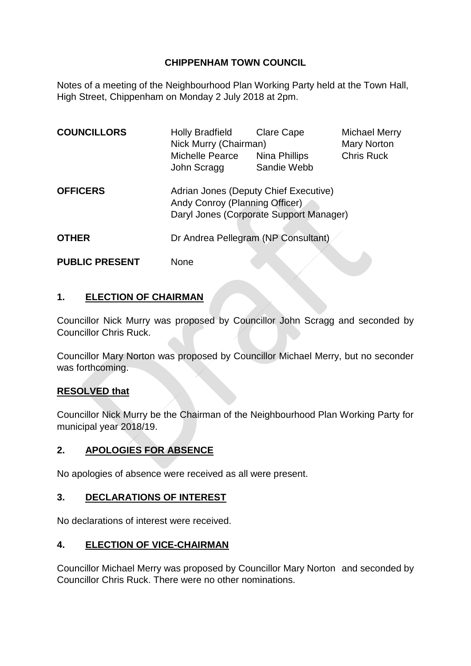## **CHIPPENHAM TOWN COUNCIL**

Notes of a meeting of the Neighbourhood Plan Working Party held at the Town Hall, High Street, Chippenham on Monday 2 July 2018 at 2pm.

| <b>COUNCILLORS</b>    | <b>Holly Bradfield</b><br>Nick Murry (Chairman)<br>Michelle Pearce                                                 | <b>Clare Cape</b><br>Nina Phillips | Michael Merry<br><b>Mary Norton</b><br><b>Chris Ruck</b> |
|-----------------------|--------------------------------------------------------------------------------------------------------------------|------------------------------------|----------------------------------------------------------|
|                       | John Scragg                                                                                                        | Sandie Webb                        |                                                          |
| <b>OFFICERS</b>       | Adrian Jones (Deputy Chief Executive)<br>Andy Conroy (Planning Officer)<br>Daryl Jones (Corporate Support Manager) |                                    |                                                          |
| <b>OTHER</b>          | Dr Andrea Pellegram (NP Consultant)                                                                                |                                    |                                                          |
| <b>PUBLIC PRESENT</b> | None                                                                                                               |                                    |                                                          |

## **1. ELECTION OF CHAIRMAN**

Councillor Nick Murry was proposed by Councillor John Scragg and seconded by Councillor Chris Ruck.

Councillor Mary Norton was proposed by Councillor Michael Merry, but no seconder was forthcoming.

## **RESOLVED that**

Councillor Nick Murry be the Chairman of the Neighbourhood Plan Working Party for municipal year 2018/19.

## **2. APOLOGIES FOR ABSENCE**

No apologies of absence were received as all were present.

## **3. DECLARATIONS OF INTEREST**

No declarations of interest were received.

## **4. ELECTION OF VICE-CHAIRMAN**

Councillor Michael Merry was proposed by Councillor Mary Norton and seconded by Councillor Chris Ruck. There were no other nominations.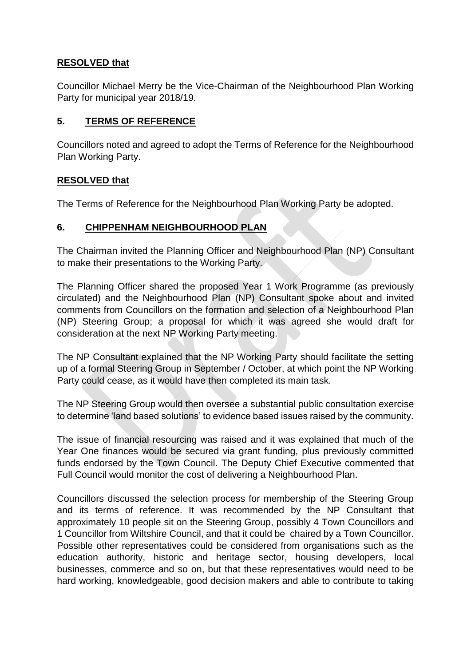## **RESOLVED that**

Councillor Michael Merry be the Vice-Chairman of the Neighbourhood Plan Working Party for municipal year 2018/19.

## **5. TERMS OF REFERENCE**

Councillors noted and agreed to adopt the Terms of Reference for the Neighbourhood Plan Working Party.

## **RESOLVED that**

The Terms of Reference for the Neighbourhood Plan Working Party be adopted.

## **6. CHIPPENHAM NEIGHBOURHOOD PLAN**

The Chairman invited the Planning Officer and Neighbourhood Plan (NP) Consultant to make their presentations to the Working Party.

The Planning Officer shared the proposed Year 1 Work Programme (as previously circulated) and the Neighbourhood Plan (NP) Consultant spoke about and invited comments from Councillors on the formation and selection of a Neighbourhood Plan (NP) Steering Group; a proposal for which it was agreed she would draft for consideration at the next NP Working Party meeting.

The NP Consultant explained that the NP Working Party should facilitate the setting up of a formal Steering Group in September / October, at which point the NP Working Party could cease, as it would have then completed its main task.

The NP Steering Group would then oversee a substantial public consultation exercise to determine 'land based solutions' to evidence based issues raised by the community.

The issue of financial resourcing was raised and it was explained that much of the Year One finances would be secured via grant funding, plus previously committed funds endorsed by the Town Council. The Deputy Chief Executive commented that Full Council would monitor the cost of delivering a Neighbourhood Plan.

Councillors discussed the selection process for membership of the Steering Group and its terms of reference. It was recommended by the NP Consultant that approximately 10 people sit on the Steering Group, possibly 4 Town Councillors and 1 Councillor from Wiltshire Council, and that it could be chaired by a Town Councillor. Possible other representatives could be considered from organisations such as the education authority, historic and heritage sector, housing developers, local businesses, commerce and so on, but that these representatives would need to be hard working, knowledgeable, good decision makers and able to contribute to taking